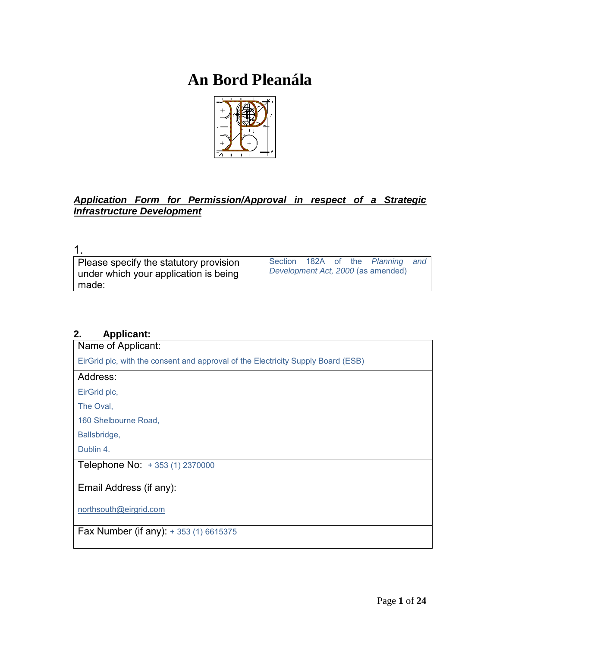# **An Bord Pleanála**



# *Application Form for Permission/Approval in respect of a Strategic Infrastructure Development*

| Please specify the statutory provision |  |  | Section 182A of the Planning and   |  |
|----------------------------------------|--|--|------------------------------------|--|
| under which your application is being  |  |  | Development Act, 2000 (as amended) |  |
| made:                                  |  |  |                                    |  |

# **2. Applicant:**

| Name of Applicant:                                                               |
|----------------------------------------------------------------------------------|
| EirGrid plc, with the consent and approval of the Electricity Supply Board (ESB) |
| Address:                                                                         |
| EirGrid plc,                                                                     |
| The Oval,                                                                        |
| 160 Shelbourne Road,                                                             |
| Ballsbridge,                                                                     |
| Dublin 4.                                                                        |
| Telephone No: +353 (1) 2370000                                                   |
|                                                                                  |
| Email Address (if any):                                                          |
| northsouth@eirgrid.com                                                           |
| <b>Fax Number (if any):</b> $+ 353 (1) 6615375$                                  |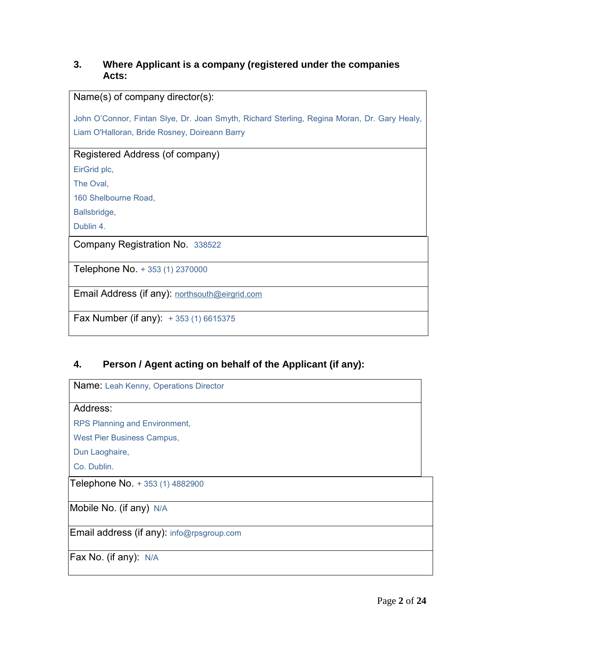# **3. Where Applicant is a company (registered under the companies Acts:**

| Name(s) of company director(s):                                                             |
|---------------------------------------------------------------------------------------------|
|                                                                                             |
| John O'Connor, Fintan Slye, Dr. Joan Smyth, Richard Sterling, Regina Moran, Dr. Gary Healy, |
| Liam O'Halloran, Bride Rosney, Doireann Barry                                               |
|                                                                                             |
| Registered Address (of company)                                                             |
| EirGrid plc,                                                                                |
| The Oval,                                                                                   |
| 160 Shelbourne Road,                                                                        |
| Ballsbridge,                                                                                |
| Dublin 4.                                                                                   |
| Company Registration No. 338522                                                             |
|                                                                                             |
| Telephone No. + 353 (1) 2370000                                                             |
|                                                                                             |
| Email Address (if any): northsouth@eirgrid.com                                              |
|                                                                                             |
| <b>Fax Number (if any):</b> $+353(1)6615375$                                                |
|                                                                                             |

# **4. Person / Agent acting on behalf of the Applicant (if any):**

Name: Leah Kenny, Operations Director

#### Address:

RPS Planning and Environment,

West Pier Business Campus,

Dun Laoghaire,

Co. Dublin.

Telephone No. + 353 (1) 4882900

Mobile No. (if any) N/A

Email address (if any): info@rpsgroup.com

Fax No. (if any): N/A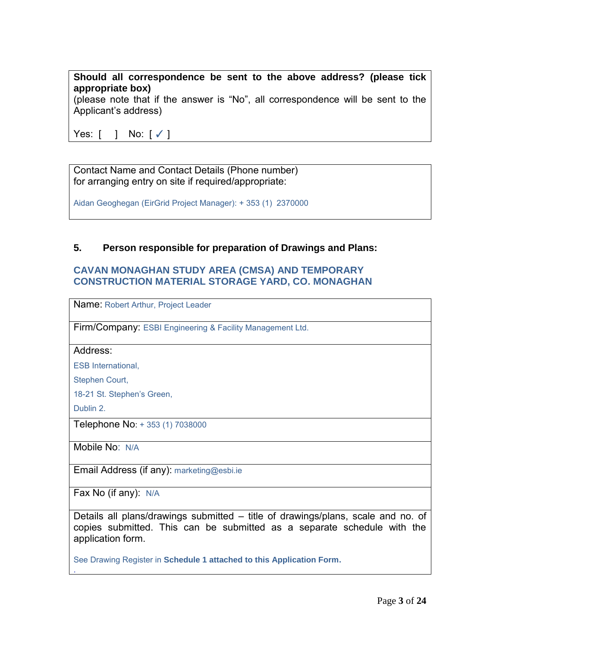#### **Should all correspondence be sent to the above address? (please tick appropriate box)**

(please note that if the answer is "No", all correspondence will be sent to the Applicant's address)

Yes: [ ] No: [✓]

Contact Name and Contact Details (Phone number) for arranging entry on site if required/appropriate:

Aidan Geoghegan (EirGrid Project Manager): + 353 (1) 2370000

#### **5. Person responsible for preparation of Drawings and Plans:**

#### **CAVAN MONAGHAN STUDY AREA (CMSA) AND TEMPORARY CONSTRUCTION MATERIAL STORAGE YARD, CO. MONAGHAN**

Name: Robert Arthur, Project Leader

Firm/Company: ESBI Engineering & Facility Management Ltd.

Address:

ESB International,

Stephen Court,

18-21 St. Stephen's Green,

Dublin 2.

.

Telephone No: + 353 (1) 7038000

Mobile No: N/A

Email Address (if any): [marketing@esbi.ie](mailto:colm.moloney@esbi.ie)

Fax No (if any): N/A

Details all plans/drawings submitted – title of drawings/plans, scale and no. of copies submitted. This can be submitted as a separate schedule with the application form.

See Drawing Register in **Schedule 1 attached to this Application Form.**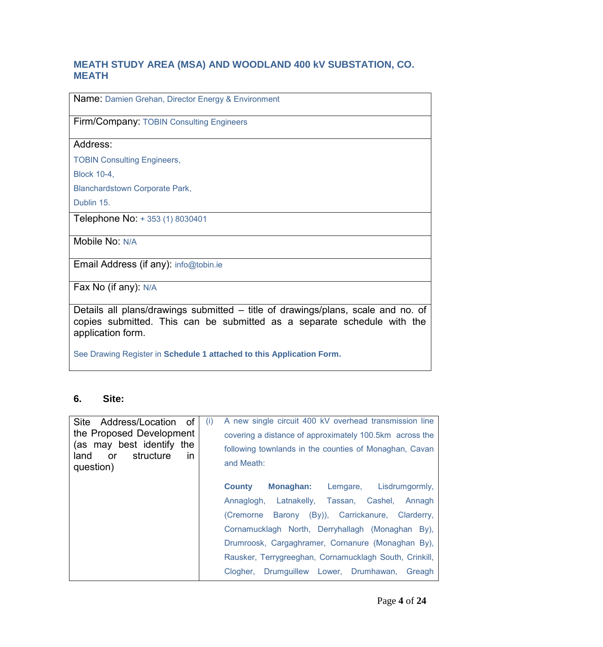## **MEATH STUDY AREA (MSA) AND WOODLAND 400 kV SUBSTATION, CO. MEATH**

Name: Damien Grehan, Director Energy & Environment

Firm/Company: TOBIN Consulting Engineers

#### Address:

TOBIN Consulting Engineers,

Block 10-4,

Blanchardstown Corporate Park,

Dublin 15.

Telephone No: + 353 (1) 8030401

Mobile No: N/A

Email Address (if any): info@tobin.ie

Fax No (if any): N/A

Details all plans/drawings submitted – title of drawings/plans, scale and no. of copies submitted. This can be submitted as a separate schedule with the application form.

See Drawing Register in **Schedule 1 attached to this Application Form.**

#### **6. Site:**

Site Address/Location of the Proposed Development (as may best identify the land or structure in question) (i) A new single circuit 400 kV overhead transmission line covering a distance of approximately 100.5km across the following townlands in the counties of Monaghan, Cavan and Meath: **County Monaghan:** Lemgare, Lisdrumgormly, Annaglogh, Latnakelly, Tassan, Cashel, Annagh (Cremorne Barony (By)), Carrickanure, Clarderry, Cornamucklagh North, Derryhallagh (Monaghan By), Drumroosk, Cargaghramer, Cornanure (Monaghan By), Rausker, Terrygreeghan, Cornamucklagh South, Crinkill, Clogher, Drumguillew Lower, Drumhawan, Greagh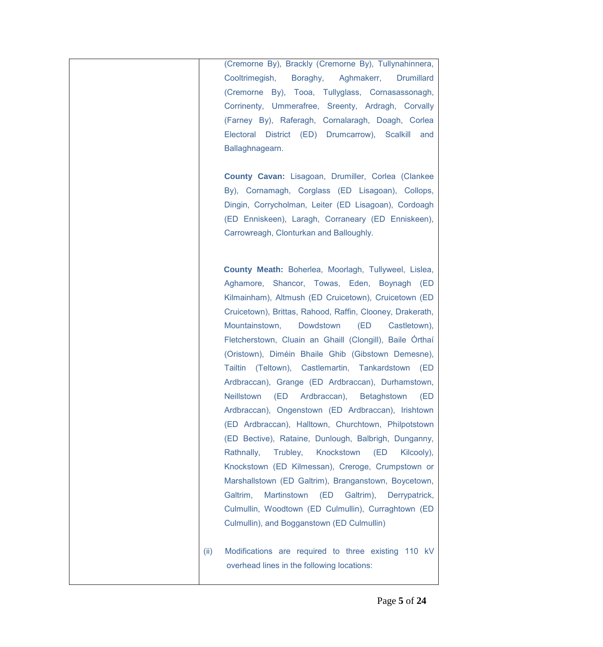(Cremorne By), Brackly (Cremorne By), Tullynahinnera, Cooltrimegish, Boraghy, Aghmakerr, Drumillard (Cremorne By), Tooa, Tullyglass, Cornasassonagh, Corrinenty, Ummerafree, Sreenty, Ardragh, Corvally (Farney By), Raferagh, Cornalaragh, Doagh, Corlea Electoral District (ED) Drumcarrow), Scalkill and Ballaghnagearn.

**County Cavan:** Lisagoan, Drumiller, Corlea (Clankee By), Cornamagh, Corglass (ED Lisagoan), Collops, Dingin, Corrycholman, Leiter (ED Lisagoan), Cordoagh (ED Enniskeen), Laragh, Corraneary (ED Enniskeen), Carrowreagh, Clonturkan and Balloughly.

 **County Meath:** Boherlea, Moorlagh, Tullyweel, Lislea, Aghamore, Shancor, Towas, Eden, Boynagh (ED Kilmainham), Altmush (ED Cruicetown), Cruicetown (ED Cruicetown), Brittas, Rahood, Raffin, Clooney, Drakerath, Mountainstown, Dowdstown (ED Castletown), Fletcherstown, Cluain an Ghaill (Clongill), Baile Órthaí (Oristown), Diméin Bhaile Ghib (Gibstown Demesne), Tailtin (Teltown), Castlemartin, Tankardstown (ED Ardbraccan), Grange (ED Ardbraccan), Durhamstown, Neillstown (ED Ardbraccan), Betaghstown (ED Ardbraccan), Ongenstown (ED Ardbraccan), Irishtown (ED Ardbraccan), Halltown, Churchtown, Philpotstown (ED Bective), Rataine, Dunlough, Balbrigh, Dunganny, Rathnally, Trubley, Knockstown (ED Kilcooly), Knockstown (ED Kilmessan), Creroge, Crumpstown or Marshallstown (ED Galtrim), Branganstown, Boycetown, Galtrim, Martinstown (ED Galtrim), Derrypatrick, Culmullin, Woodtown (ED Culmullin), Curraghtown (ED Culmullin), and Bogganstown (ED Culmullin)

(ii) Modifications are required to three existing 110 kV overhead lines in the following locations: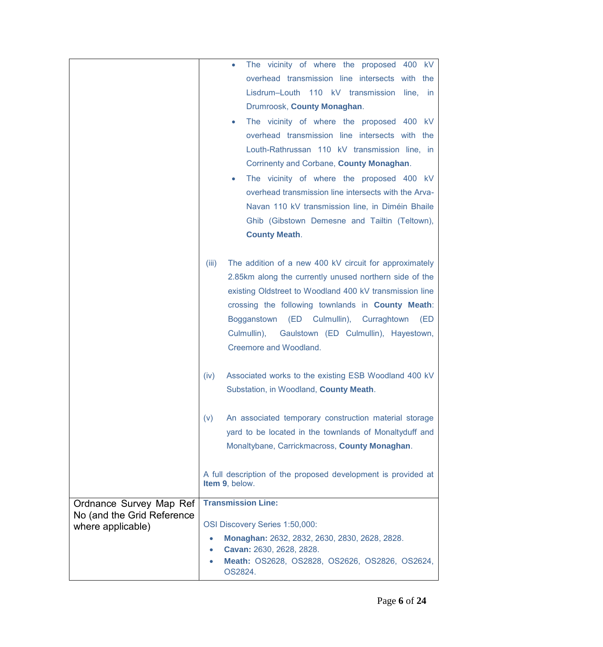|                                                       | The vicinity of where the proposed 400 kV<br>$\bullet$                          |
|-------------------------------------------------------|---------------------------------------------------------------------------------|
|                                                       | overhead transmission line intersects with the                                  |
|                                                       | Lisdrum-Louth 110 kV transmission line, in                                      |
|                                                       | Drumroosk, County Monaghan.                                                     |
|                                                       | The vicinity of where the proposed 400 kV                                       |
|                                                       | $\bullet$                                                                       |
|                                                       | overhead transmission line intersects with the                                  |
|                                                       | Louth-Rathrussan 110 kV transmission line, in                                   |
|                                                       | Corrinenty and Corbane, County Monaghan.                                        |
|                                                       | The vicinity of where the proposed 400 kV<br>$\bullet$                          |
|                                                       | overhead transmission line intersects with the Arva-                            |
|                                                       | Navan 110 kV transmission line, in Diméin Bhaile                                |
|                                                       | Ghib (Gibstown Demesne and Tailtin (Teltown),                                   |
|                                                       | <b>County Meath.</b>                                                            |
|                                                       |                                                                                 |
|                                                       | The addition of a new 400 kV circuit for approximately<br>(iii)                 |
|                                                       | 2.85km along the currently unused northern side of the                          |
|                                                       | existing Oldstreet to Woodland 400 kV transmission line                         |
|                                                       | crossing the following townlands in County Meath:                               |
|                                                       | (ED Culmullin), Curraghtown<br>Bogganstown<br>(ED                               |
|                                                       | Culmullin),<br>Gaulstown (ED Culmullin), Hayestown,                             |
|                                                       | Creemore and Woodland.                                                          |
|                                                       |                                                                                 |
|                                                       | Associated works to the existing ESB Woodland 400 kV<br>(iv)                    |
|                                                       | Substation, in Woodland, County Meath.                                          |
|                                                       |                                                                                 |
|                                                       | An associated temporary construction material storage<br>(v)                    |
|                                                       | yard to be located in the townlands of Monaltyduff and                          |
|                                                       | Monaltybane, Carrickmacross, County Monaghan.                                   |
|                                                       |                                                                                 |
|                                                       |                                                                                 |
|                                                       | A full description of the proposed development is provided at<br>Item 9, below. |
|                                                       | <b>Transmission Line:</b>                                                       |
| Ordnance Survey Map Ref<br>No (and the Grid Reference |                                                                                 |
| where applicable)                                     | OSI Discovery Series 1:50,000:                                                  |
|                                                       | Monaghan: 2632, 2832, 2630, 2830, 2628, 2828.                                   |
|                                                       | Cavan: 2630, 2628, 2828.<br>$\bullet$                                           |
|                                                       |                                                                                 |
|                                                       | Meath: OS2628, OS2828, OS2626, OS2826, OS2624,<br>OS2824.                       |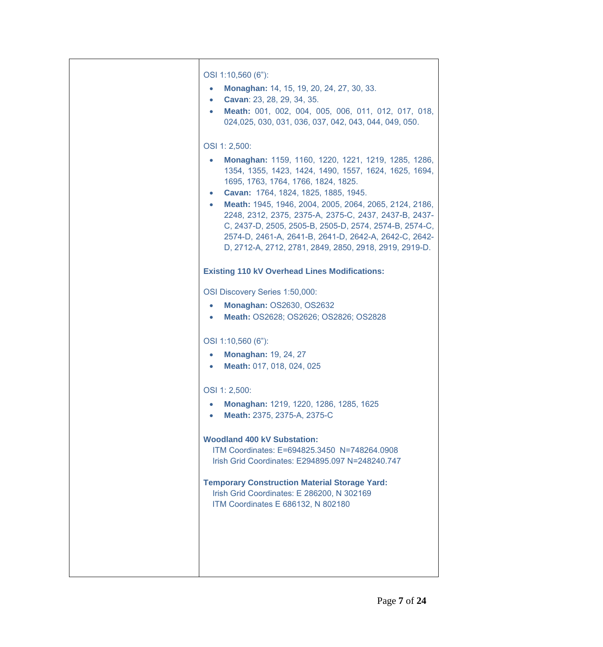| OSI 1:10,560 (6"):<br>Monaghan: 14, 15, 19, 20, 24, 27, 30, 33.<br>$\bullet$<br>Cavan: 23, 28, 29, 34, 35.<br>$\bullet$<br>Meath: 001, 002, 004, 005, 006, 011, 012, 017, 018,<br>$\bullet$<br>024,025, 030, 031, 036, 037, 042, 043, 044, 049, 050.<br>OSI 1: 2,500:<br>Monaghan: 1159, 1160, 1220, 1221, 1219, 1285, 1286,<br>1354, 1355, 1423, 1424, 1490, 1557, 1624, 1625, 1694,<br>1695, 1763, 1764, 1766, 1824, 1825.<br>Cavan: 1764, 1824, 1825, 1885, 1945.<br>$\bullet$<br>Meath: 1945, 1946, 2004, 2005, 2064, 2065, 2124, 2186,<br>$\bullet$<br>2248, 2312, 2375, 2375-A, 2375-C, 2437, 2437-B, 2437-<br>C, 2437-D, 2505, 2505-B, 2505-D, 2574, 2574-B, 2574-C,<br>2574-D, 2461-A, 2641-B, 2641-D, 2642-A, 2642-C, 2642- |
|--------------------------------------------------------------------------------------------------------------------------------------------------------------------------------------------------------------------------------------------------------------------------------------------------------------------------------------------------------------------------------------------------------------------------------------------------------------------------------------------------------------------------------------------------------------------------------------------------------------------------------------------------------------------------------------------------------------------------------------|
| D, 2712-A, 2712, 2781, 2849, 2850, 2918, 2919, 2919-D.<br><b>Existing 110 kV Overhead Lines Modifications:</b><br>OSI Discovery Series 1:50,000:<br><b>Monaghan: OS2630, OS2632</b><br>$\bullet$<br>Meath: OS2628; OS2626; OS2826; OS2828                                                                                                                                                                                                                                                                                                                                                                                                                                                                                            |
| OSI 1:10,560 (6"):<br><b>Monaghan: 19, 24, 27</b><br>$\bullet$<br>Meath: 017, 018, 024, 025<br>$\bullet$                                                                                                                                                                                                                                                                                                                                                                                                                                                                                                                                                                                                                             |
| OSI 1: 2,500:<br>Monaghan: 1219, 1220, 1286, 1285, 1625<br>Meath: 2375, 2375-A, 2375-C<br>$\bullet$                                                                                                                                                                                                                                                                                                                                                                                                                                                                                                                                                                                                                                  |
| <b>Woodland 400 kV Substation:</b><br>ITM Coordinates: E=694825.3450 N=748264.0908<br>Irish Grid Coordinates: E294895.097 N=248240.747                                                                                                                                                                                                                                                                                                                                                                                                                                                                                                                                                                                               |
| <b>Temporary Construction Material Storage Yard:</b><br>Irish Grid Coordinates: E 286200, N 302169<br>ITM Coordinates E 686132, N 802180                                                                                                                                                                                                                                                                                                                                                                                                                                                                                                                                                                                             |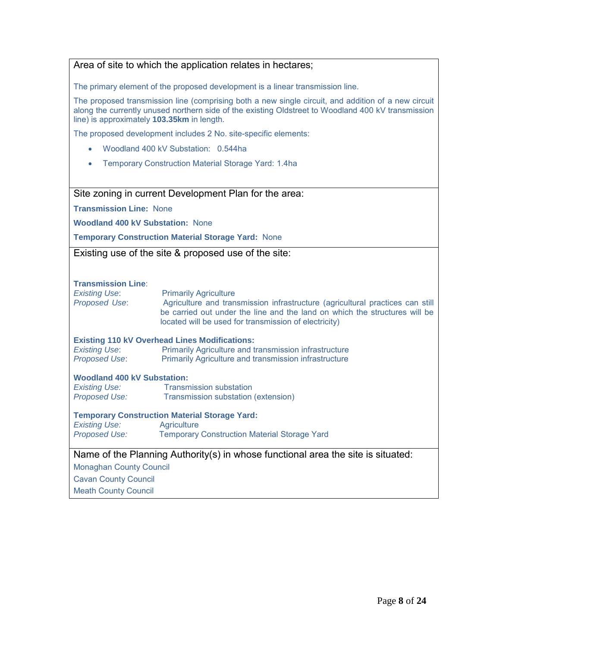#### Area of site to which the application relates in hectares;

The primary element of the proposed development is a linear transmission line.

The proposed transmission line (comprising both a new single circuit, and addition of a new circuit along the currently unused northern side of the existing Oldstreet to Woodland 400 kV transmission line) is approximately **103.35km** in length.

The proposed development includes 2 No. site-specific elements:

- Woodland 400 kV Substation: 0.544ha
- Temporary Construction Material Storage Yard: 1.4ha

# Site zoning in current Development Plan for the area:

**Transmission Line:** None

**Woodland 400 kV Substation:** None

**Temporary Construction Material Storage Yard:** None

Existing use of the site & proposed use of the site:

#### **Transmission Line**:

**Existing Use:** Primarily Agriculture *Proposed Use*: Agriculture and transmission infrastructure (agricultural practices can still be carried out under the line and the land on which the structures will be located will be used for transmission of electricity)

#### **Existing 110 kV Overhead Lines Modifications:**

**Existing Use:** Primarily Agriculture and transmission infrastructure **Proposed Use:** Primarily Agriculture and transmission infrastructure

#### **Woodland 400 kV Substation:**

**Existing Use:** Transmission substation **Proposed Use:** Transmission substation (extension)

#### **Temporary Construction Material Storage Yard:**

**Existing Use:** Agriculture<br>Proposed Use: Temporarv **Temporary Construction Material Storage Yard** 

#### Name of the Planning Authority(s) in whose functional area the site is situated:

Monaghan County Council

Cavan County Council

Meath County Council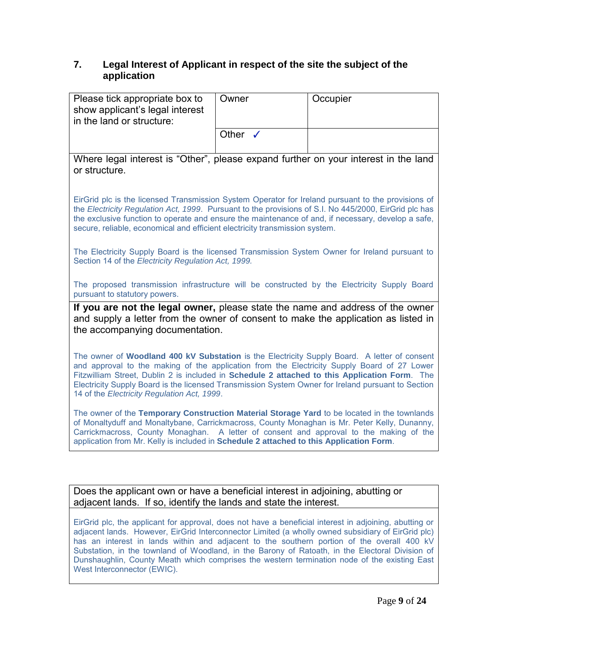# **7. Legal Interest of Applicant in respect of the site the subject of the application**

|                                                                                                                                                                                                                                                                                                                                                                                                                                                   | Owner              |  |          |  |
|---------------------------------------------------------------------------------------------------------------------------------------------------------------------------------------------------------------------------------------------------------------------------------------------------------------------------------------------------------------------------------------------------------------------------------------------------|--------------------|--|----------|--|
| Please tick appropriate box to<br>show applicant's legal interest                                                                                                                                                                                                                                                                                                                                                                                 |                    |  | Occupier |  |
| in the land or structure:                                                                                                                                                                                                                                                                                                                                                                                                                         |                    |  |          |  |
|                                                                                                                                                                                                                                                                                                                                                                                                                                                   | Other $\checkmark$ |  |          |  |
|                                                                                                                                                                                                                                                                                                                                                                                                                                                   |                    |  |          |  |
| Where legal interest is "Other", please expand further on your interest in the land<br>or structure.                                                                                                                                                                                                                                                                                                                                              |                    |  |          |  |
| EirGrid plc is the licensed Transmission System Operator for Ireland pursuant to the provisions of<br>the Electricity Regulation Act, 1999. Pursuant to the provisions of S.I. No 445/2000, EirGrid plc has<br>the exclusive function to operate and ensure the maintenance of and, if necessary, develop a safe,<br>secure, reliable, economical and efficient electricity transmission system.                                                  |                    |  |          |  |
| The Electricity Supply Board is the licensed Transmission System Owner for Ireland pursuant to<br>Section 14 of the Electricity Regulation Act, 1999.                                                                                                                                                                                                                                                                                             |                    |  |          |  |
| The proposed transmission infrastructure will be constructed by the Electricity Supply Board<br>pursuant to statutory powers.                                                                                                                                                                                                                                                                                                                     |                    |  |          |  |
| If you are not the legal owner, please state the name and address of the owner<br>and supply a letter from the owner of consent to make the application as listed in<br>the accompanying documentation.                                                                                                                                                                                                                                           |                    |  |          |  |
| The owner of Woodland 400 kV Substation is the Electricity Supply Board. A letter of consent<br>and approval to the making of the application from the Electricity Supply Board of 27 Lower<br>Fitzwilliam Street, Dublin 2 is included in Schedule 2 attached to this Application Form. The<br>Electricity Supply Board is the licensed Transmission System Owner for Ireland pursuant to Section<br>14 of the Electricity Regulation Act, 1999. |                    |  |          |  |
| The owner of the Temporary Construction Material Storage Yard to be located in the townlands<br>of Monaltyduff and Monaltybane, Carrickmacross, County Monaghan is Mr. Peter Kelly, Dunanny,<br>Carrickmacross, County Monaghan. A letter of consent and approval to the making of the<br>application from Mr. Kelly is included in Schedule 2 attached to this Application Form.                                                                 |                    |  |          |  |
|                                                                                                                                                                                                                                                                                                                                                                                                                                                   |                    |  |          |  |
| Does the applicant own or have a beneficial interest in adjoining, abutting or<br>adjacent lands. If so, identify the lands and state the interest.                                                                                                                                                                                                                                                                                               |                    |  |          |  |
|                                                                                                                                                                                                                                                                                                                                                                                                                                                   |                    |  |          |  |
| EirGrid plc, the applicant for approval, does not have a beneficial interest in adjoining, abutting or<br>adjacent lands. However, EirGrid Interconnector Limited (a wholly owned subsidiary of EirGrid plc)                                                                                                                                                                                                                                      |                    |  |          |  |

has an interest in lands within and adjacent to the southern portion of the overall 400 kV Substation, in the townland of Woodland, in the Barony of Ratoath, in the Electoral Division of Dunshaughlin, County Meath which comprises the western termination node of the existing East West Interconnector (EWIC).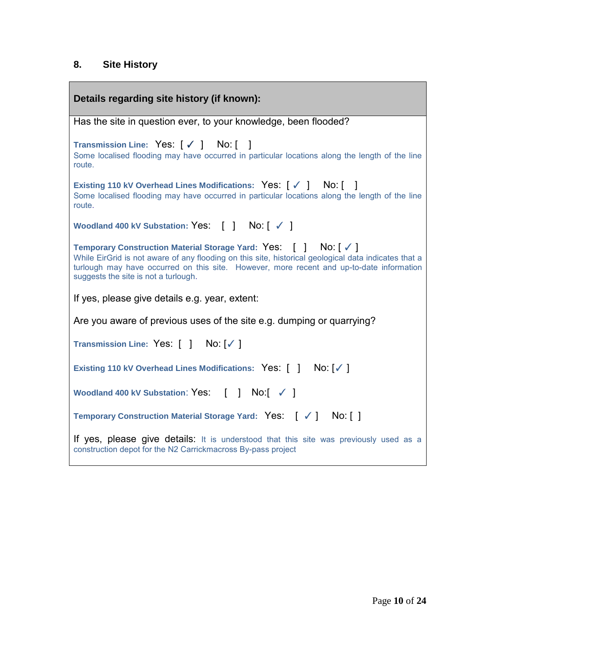# **8. Site History**

| Details regarding site history (if known):                                                                                                                                                                                                                                                                |  |  |  |
|-----------------------------------------------------------------------------------------------------------------------------------------------------------------------------------------------------------------------------------------------------------------------------------------------------------|--|--|--|
| Has the site in question ever, to your knowledge, been flooded?                                                                                                                                                                                                                                           |  |  |  |
| Transmission Line: Yes: [√ ] No: []<br>Some localised flooding may have occurred in particular locations along the length of the line<br>route.                                                                                                                                                           |  |  |  |
| Existing 110 kV Overhead Lines Modifications: Yes: [√] No: []<br>Some localised flooding may have occurred in particular locations along the length of the line<br>route.                                                                                                                                 |  |  |  |
| Woodland 400 kV Substation: Yes: [] No: [√]                                                                                                                                                                                                                                                               |  |  |  |
| Temporary Construction Material Storage Yard: Yes: [] No: [√]<br>While EirGrid is not aware of any flooding on this site, historical geological data indicates that a<br>turlough may have occurred on this site. However, more recent and up-to-date information<br>suggests the site is not a turlough. |  |  |  |
| If yes, please give details e.g. year, extent:                                                                                                                                                                                                                                                            |  |  |  |
| Are you aware of previous uses of the site e.g. dumping or quarrying?                                                                                                                                                                                                                                     |  |  |  |
| Transmission Line: Yes: [ ] No: [√ ]                                                                                                                                                                                                                                                                      |  |  |  |
| Existing 110 kV Overhead Lines Modifications: Yes: [ ] No: [√ ]                                                                                                                                                                                                                                           |  |  |  |
| Woodland 400 kV Substation: Yes: [ ] No: [ √ ]                                                                                                                                                                                                                                                            |  |  |  |
| Temporary Construction Material Storage Yard: Yes: [ √ ] No: [ ]                                                                                                                                                                                                                                          |  |  |  |
| If yes, please give details: It is understood that this site was previously used as a<br>construction depot for the N2 Carrickmacross By-pass project                                                                                                                                                     |  |  |  |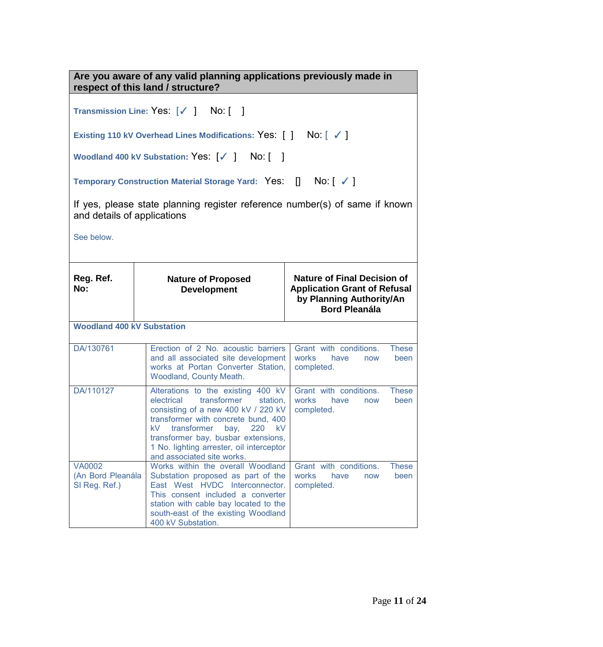**Are you aware of any valid planning applications previously made in respect of this land / structure? Transmission Line:** Yes: [✓ ] No: [ ] **Existing 110 kV Overhead Lines Modifications:** Yes: [ ] No: [ ✓ ] Woodland 400 kV Substation: Yes: [√ ] No: [ ] **Temporary Construction Material Storage Yard:** Yes: [] No: [ ✓ ] If yes, please state planning register reference number(s) of same if known and details of applications See below. **Reg. Ref. No: Nature of Proposed Development Nature of Final Decision of Application Grant of Refusal by Planning Authority/An Bord Pleanála Woodland 400 kV Substation** DA/130761 Erection of 2 No. acoustic barriers and all associated site development works at Portan Converter Station, Woodland, County Meath. Grant with conditions. These works have now been completed. DA/110127 Alterations to the existing 400 kV electrical transformer station, consisting of a new 400 kV / 220 kV transformer with concrete bund, 400 kV transformer bay, 220 kV transformer bay, busbar extensions, 1 No. lighting arrester, oil interceptor and associated site works. Grant with conditions. These works have now been completed. VA0002 (An Bord Pleanála SI Reg. Ref.) Works within the overall Woodland Substation proposed as part of the East West HVDC Interconnector. This consent included a converter station with cable bay located to the south-east of the existing Woodland 400 kV Substation. Grant with conditions. These works have now been completed.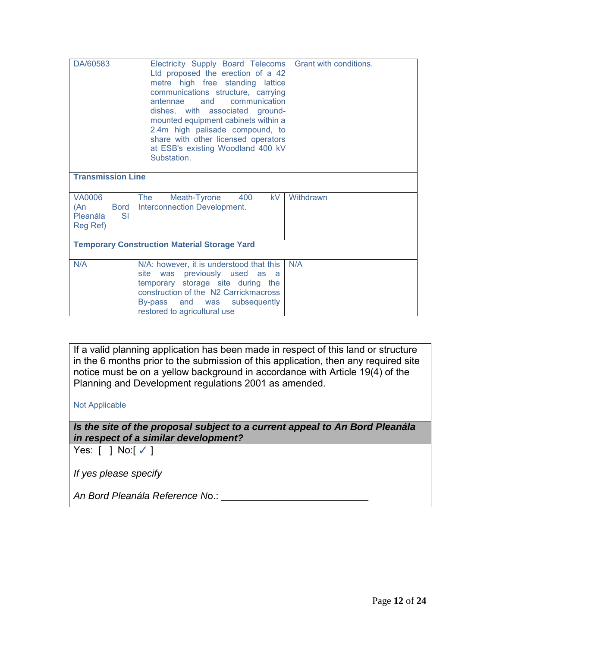| DA/60583                                                                                                                                            | Electricity Supply Board Telecoms<br>Ltd proposed the erection of a 42<br>metre high free standing lattice<br>communications structure, carrying<br>antennae and communication<br>dishes, with associated ground-<br>mounted equipment cabinets within a<br>2.4m high palisade compound, to<br>share with other licensed operators<br>at ESB's existing Woodland 400 kV<br>Substation. | Grant with conditions. |  |
|-----------------------------------------------------------------------------------------------------------------------------------------------------|----------------------------------------------------------------------------------------------------------------------------------------------------------------------------------------------------------------------------------------------------------------------------------------------------------------------------------------------------------------------------------------|------------------------|--|
| <b>Transmission Line</b>                                                                                                                            |                                                                                                                                                                                                                                                                                                                                                                                        |                        |  |
| VA0006<br>The<br>kV.<br>Withdrawn<br>Meath-Tyrone<br>400<br>Interconnection Development.<br><b>Bord</b><br>(An<br><b>SI</b><br>Pleanála<br>Reg Ref) |                                                                                                                                                                                                                                                                                                                                                                                        |                        |  |
|                                                                                                                                                     | <b>Temporary Construction Material Storage Yard</b>                                                                                                                                                                                                                                                                                                                                    |                        |  |
| N/A                                                                                                                                                 | N/A: however, it is understood that this<br>was previously used as a<br>site<br>temporary storage site during the<br>construction of the N2 Carrickmacross<br>By-pass and was subsequently<br>restored to agricultural use                                                                                                                                                             | N/A                    |  |

If a valid planning application has been made in respect of this land or structure in the 6 months prior to the submission of this application, then any required site notice must be on a yellow background in accordance with Article 19(4) of the Planning and Development regulations 2001 as amended.

Not Applicable

*Is the site of the proposal subject to a current appeal to An Bord Pleanála in respect of a similar development?*

Yes:  $\lceil$   $\rceil$  No: $\lceil$   $\checkmark$   $\rceil$ 

*If yes please specify* 

*An Bord Pleanála Reference N*o.: \_\_\_\_\_\_\_\_\_\_\_\_\_\_\_\_\_\_\_\_\_\_\_\_\_\_\_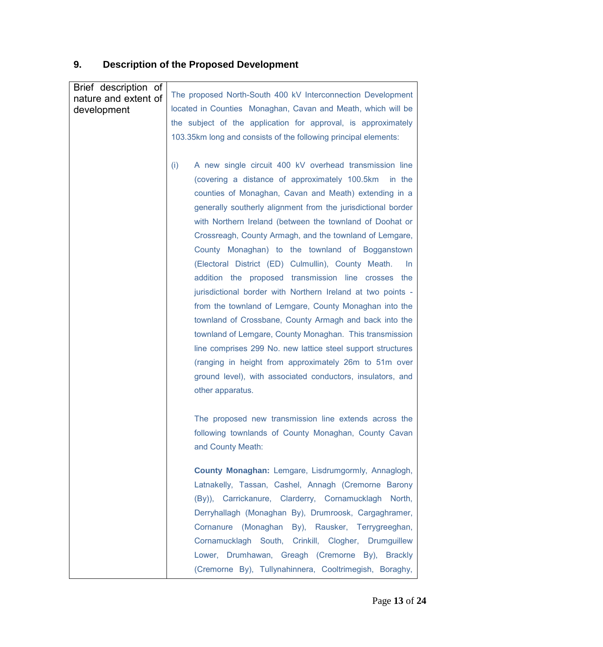# **9. Description of the Proposed Development**

| Brief description of<br>nature and extent of<br>development | The proposed North-South 400 kV Interconnection Development<br>located in Counties Monaghan, Cavan and Meath, which will be<br>the subject of the application for approval, is approximately<br>103.35km long and consists of the following principal elements:                                                                                                                                                                                                                                                                                                                                                                                                                                                                                                                                                                                                                                                                                                                                      |
|-------------------------------------------------------------|------------------------------------------------------------------------------------------------------------------------------------------------------------------------------------------------------------------------------------------------------------------------------------------------------------------------------------------------------------------------------------------------------------------------------------------------------------------------------------------------------------------------------------------------------------------------------------------------------------------------------------------------------------------------------------------------------------------------------------------------------------------------------------------------------------------------------------------------------------------------------------------------------------------------------------------------------------------------------------------------------|
|                                                             | A new single circuit 400 kV overhead transmission line<br>(i)<br>(covering a distance of approximately 100.5km in the<br>counties of Monaghan, Cavan and Meath) extending in a<br>generally southerly alignment from the jurisdictional border<br>with Northern Ireland (between the townland of Doohat or<br>Crossreagh, County Armagh, and the townland of Lemgare,<br>County Monaghan) to the townland of Bogganstown<br>(Electoral District (ED) Culmullin), County Meath.<br>In.<br>addition the proposed transmission line crosses the<br>jurisdictional border with Northern Ireland at two points -<br>from the townland of Lemgare, County Monaghan into the<br>townland of Crossbane, County Armagh and back into the<br>townland of Lemgare, County Monaghan. This transmission<br>line comprises 299 No. new lattice steel support structures<br>(ranging in height from approximately 26m to 51m over<br>ground level), with associated conductors, insulators, and<br>other apparatus. |
|                                                             | The proposed new transmission line extends across the<br>following townlands of County Monaghan, County Cavan<br>and County Meath:<br>County Monaghan: Lemgare, Lisdrumgormly, Annaglogh,<br>Latnakelly, Tassan, Cashel, Annagh (Cremorne Barony                                                                                                                                                                                                                                                                                                                                                                                                                                                                                                                                                                                                                                                                                                                                                     |
|                                                             | (By)), Carrickanure, Clarderry, Cornamucklagh North,<br>Derryhallagh (Monaghan By), Drumroosk, Cargaghramer,<br>Cornanure (Monaghan By), Rausker, Terrygreeghan,<br>Cornamucklagh South, Crinkill, Clogher, Drumguillew<br>Lower, Drumhawan, Greagh (Cremorne By), Brackly<br>(Cremorne By), Tullynahinnera, Cooltrimegish, Boraghy,                                                                                                                                                                                                                                                                                                                                                                                                                                                                                                                                                                                                                                                                 |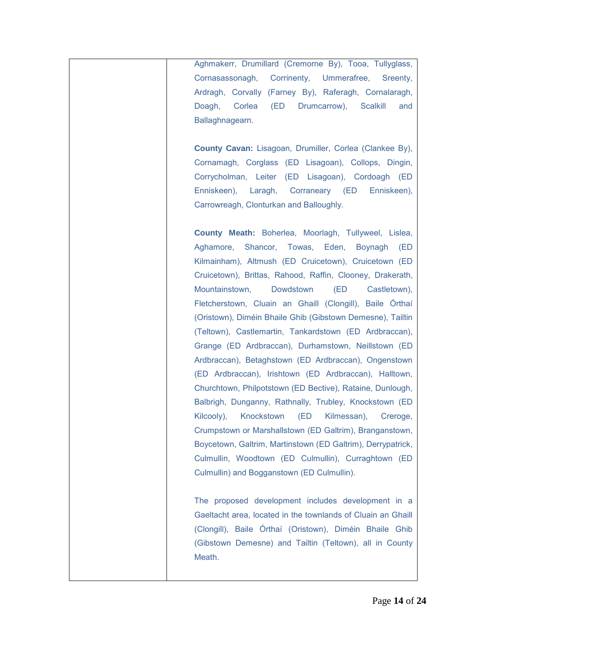Aghmakerr, Drumillard (Cremorne By), Tooa, Tullyglass, Cornasassonagh, Corrinenty, Ummerafree, Sreenty, Ardragh, Corvally (Farney By), Raferagh, Cornalaragh, Doagh, Corlea (ED Drumcarrow), Scalkill and Ballaghnagearn.

**County Cavan:** Lisagoan, Drumiller, Corlea (Clankee By), Cornamagh, Corglass (ED Lisagoan), Collops, Dingin, Corrycholman, Leiter (ED Lisagoan), Cordoagh (ED Enniskeen), Laragh, Corraneary (ED Enniskeen), Carrowreagh, Clonturkan and Balloughly.

**County Meath:** Boherlea, Moorlagh, Tullyweel, Lislea, Aghamore, Shancor, Towas, Eden, Boynagh (ED Kilmainham), Altmush (ED Cruicetown), Cruicetown (ED Cruicetown), Brittas, Rahood, Raffin, Clooney, Drakerath, Mountainstown, Dowdstown (ED Castletown), Fletcherstown, Cluain an Ghaill (Clongill), Baile Órthaí (Oristown), Diméin Bhaile Ghib (Gibstown Demesne), Tailtin (Teltown), Castlemartin, Tankardstown (ED Ardbraccan), Grange (ED Ardbraccan), Durhamstown, Neillstown (ED Ardbraccan), Betaghstown (ED Ardbraccan), Ongenstown (ED Ardbraccan), Irishtown (ED Ardbraccan), Halltown, Churchtown, Philpotstown (ED Bective), Rataine, Dunlough, Balbrigh, Dunganny, Rathnally, Trubley, Knockstown (ED Kilcooly), Knockstown (ED Kilmessan), Creroge, Crumpstown or Marshallstown (ED Galtrim), Branganstown, Boycetown, Galtrim, Martinstown (ED Galtrim), Derrypatrick, Culmullin, Woodtown (ED Culmullin), Curraghtown (ED Culmullin) and Bogganstown (ED Culmullin).

The proposed development includes development in a Gaeltacht area, located in the townlands of Cluain an Ghaill (Clongill), Baile Órthaí (Oristown), Diméin Bhaile Ghib (Gibstown Demesne) and Tailtin (Teltown), all in County Meath.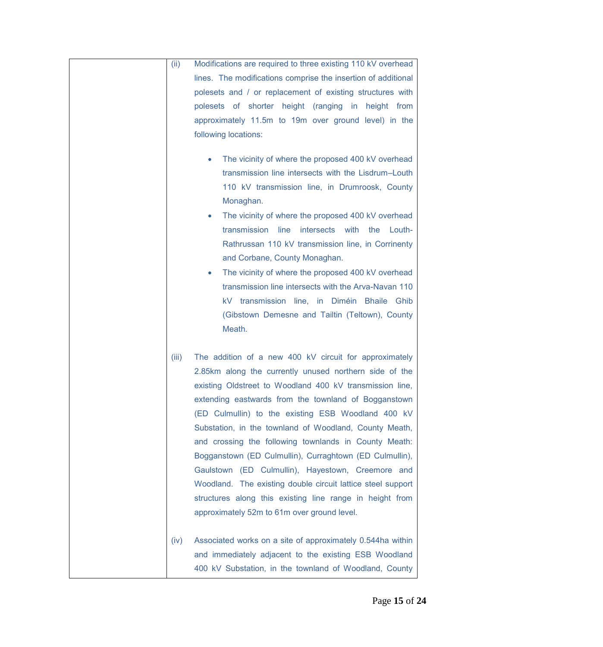| (ii)  | Modifications are required to three existing 110 kV overhead                                                                                                                                                                                                                                                                                                                                                                                                                                                                                                                                                                                                                                                                                                                                                                                         |
|-------|------------------------------------------------------------------------------------------------------------------------------------------------------------------------------------------------------------------------------------------------------------------------------------------------------------------------------------------------------------------------------------------------------------------------------------------------------------------------------------------------------------------------------------------------------------------------------------------------------------------------------------------------------------------------------------------------------------------------------------------------------------------------------------------------------------------------------------------------------|
|       | lines. The modifications comprise the insertion of additional<br>polesets and / or replacement of existing structures with<br>polesets of shorter height (ranging in height from<br>approximately 11.5m to 19m over ground level) in the<br>following locations:<br>The vicinity of where the proposed 400 kV overhead<br>۰<br>transmission line intersects with the Lisdrum-Louth<br>110 kV transmission line, in Drumroosk, County<br>Monaghan.<br>The vicinity of where the proposed 400 kV overhead<br>$\bullet$<br>transmission<br>line<br>intersects<br>with<br>the<br>Louth-<br>Rathrussan 110 kV transmission line, in Corrinenty<br>and Corbane, County Monaghan.<br>The vicinity of where the proposed 400 kV overhead<br>$\bullet$<br>transmission line intersects with the Arva-Navan 110<br>kV transmission line, in Diméin Bhaile Ghib |
|       | (Gibstown Demesne and Tailtin (Teltown), County<br>Meath.                                                                                                                                                                                                                                                                                                                                                                                                                                                                                                                                                                                                                                                                                                                                                                                            |
| (iii) | The addition of a new 400 kV circuit for approximately<br>2.85km along the currently unused northern side of the<br>existing Oldstreet to Woodland 400 kV transmission line,<br>extending eastwards from the townland of Bogganstown<br>(ED Culmullin) to the existing ESB Woodland 400 kV<br>Substation, in the townland of Woodland, County Meath,<br>and crossing the following townlands in County Meath:<br>Bogganstown (ED Culmullin), Curraghtown (ED Culmullin),<br>Gaulstown (ED Culmullin), Hayestown, Creemore and<br>Woodland. The existing double circuit lattice steel support<br>structures along this existing line range in height from<br>approximately 52m to 61m over ground level.                                                                                                                                              |
| (iv)  | Associated works on a site of approximately 0.544ha within<br>and immediately adjacent to the existing ESB Woodland<br>400 kV Substation, in the townland of Woodland, County                                                                                                                                                                                                                                                                                                                                                                                                                                                                                                                                                                                                                                                                        |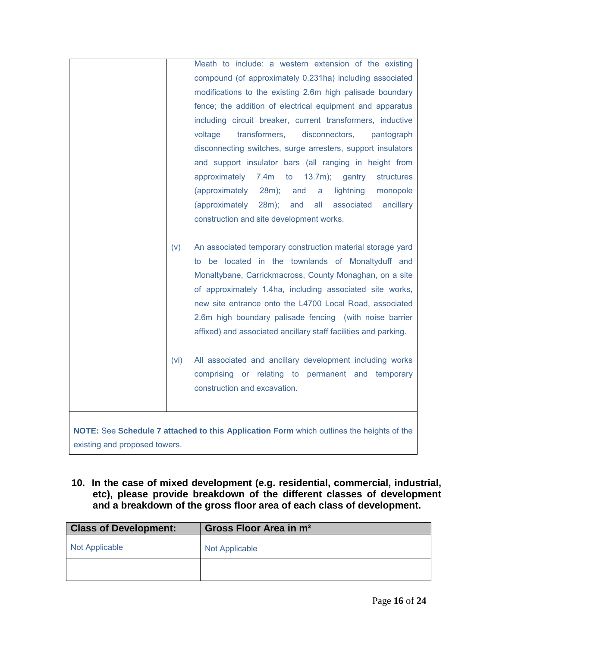|                               | Meath to include: a western extension of the existing                                    |
|-------------------------------|------------------------------------------------------------------------------------------|
|                               | compound (of approximately 0.231ha) including associated                                 |
|                               | modifications to the existing 2.6m high palisade boundary                                |
|                               | fence; the addition of electrical equipment and apparatus                                |
|                               | including circuit breaker, current transformers, inductive                               |
|                               | disconnectors,<br>voltage<br>transformers,<br>pantograph                                 |
|                               | disconnecting switches, surge arresters, support insulators                              |
|                               | and support insulator bars (all ranging in height from                                   |
|                               | $7.4m$ to<br>approximately<br>$13.7m$ );<br>gantry<br>structures                         |
|                               | (approximately<br>28m);<br>and<br>lightning<br>a<br>monopole                             |
|                               | (approximately<br>$28m$ );<br>and<br>all<br>associated<br>ancillary                      |
|                               | construction and site development works.                                                 |
|                               |                                                                                          |
| (v)                           | An associated temporary construction material storage yard                               |
|                               | to be located in the townlands of Monaltyduff and                                        |
|                               | Monaltybane, Carrickmacross, County Monaghan, on a site                                  |
|                               | of approximately 1.4ha, including associated site works,                                 |
|                               | new site entrance onto the L4700 Local Road, associated                                  |
|                               | 2.6m high boundary palisade fencing (with noise barrier                                  |
|                               | affixed) and associated ancillary staff facilities and parking.                          |
|                               |                                                                                          |
| (vi)                          | All associated and ancillary development including works                                 |
|                               | comprising or relating to permanent and temporary                                        |
|                               | construction and excavation.                                                             |
|                               |                                                                                          |
|                               |                                                                                          |
|                               | NOTE: See Schedule 7 attached to this Application Form which outlines the heights of the |
| existing and proposed towers. |                                                                                          |

 **10. In the case of mixed development (e.g. residential, commercial, industrial, etc), please provide breakdown of the different classes of development and a breakdown of the gross floor area of each class of development.** 

| <b>Class of Development:</b> | Gross Floor Area in m <sup>2</sup> |
|------------------------------|------------------------------------|
| <b>Not Applicable</b>        | Not Applicable                     |
|                              |                                    |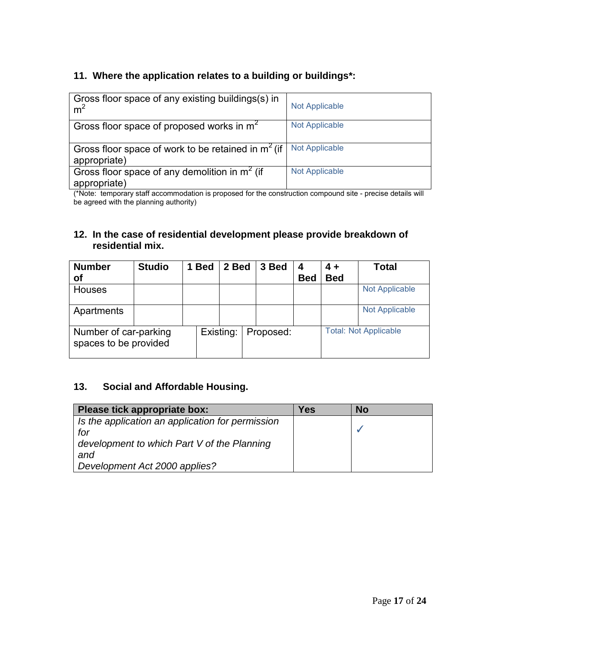# **11. Where the application relates to a building or buildings\*:**

| Gross floor space of any existing buildings(s) in<br>m <sup>2</sup>  | <b>Not Applicable</b> |
|----------------------------------------------------------------------|-----------------------|
| Gross floor space of proposed works in $m2$                          | <b>Not Applicable</b> |
| Gross floor space of work to be retained in $m2$ (if<br>appropriate) | <b>Not Applicable</b> |
| Gross floor space of any demolition in $m2$ (if<br>appropriate)      | <b>Not Applicable</b> |

(\*Note: temporary staff accommodation is proposed for the construction compound site - precise details will be agreed with the planning authority)

## **12. In the case of residential development please provide breakdown of residential mix.**

| <b>Number</b>                                  | <b>Studio</b> | <b>Bed</b> | 2 Bed     | 3 Bed     | 4          | $4 +$      | <b>Total</b>                 |
|------------------------------------------------|---------------|------------|-----------|-----------|------------|------------|------------------------------|
| οf                                             |               |            |           |           | <b>Bed</b> | <b>Bed</b> |                              |
| Houses                                         |               |            |           |           |            |            | <b>Not Applicable</b>        |
| Apartments                                     |               |            |           |           |            |            | <b>Not Applicable</b>        |
| Number of car-parking<br>spaces to be provided |               |            | Existing: | Proposed: |            |            | <b>Total: Not Applicable</b> |

# **13. Social and Affordable Housing.**

| Please tick appropriate box:                     | Yes | No |
|--------------------------------------------------|-----|----|
| Is the application an application for permission |     |    |
| for                                              |     |    |
| development to which Part V of the Planning      |     |    |
| and                                              |     |    |
| Development Act 2000 applies?                    |     |    |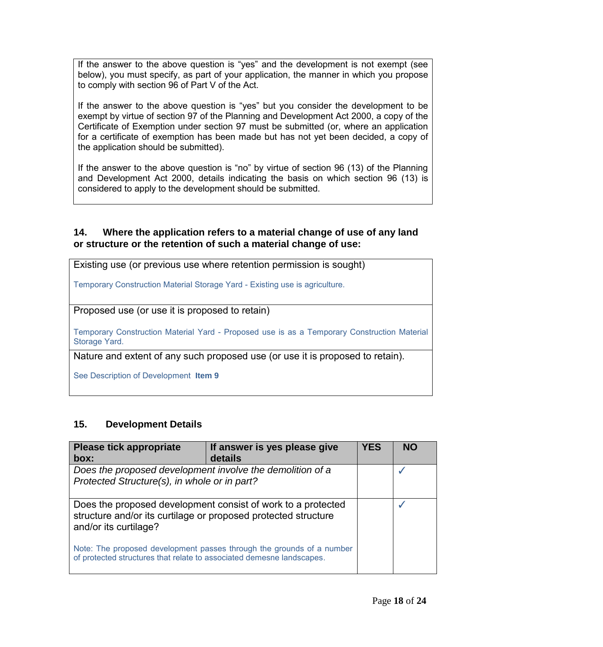If the answer to the above question is "yes" and the development is not exempt (see below), you must specify, as part of your application, the manner in which you propose to comply with section 96 of Part V of the Act.

If the answer to the above question is "yes" but you consider the development to be exempt by virtue of section 97 of the Planning and Development Act 2000, a copy of the Certificate of Exemption under section 97 must be submitted (or, where an application for a certificate of exemption has been made but has not yet been decided, a copy of the application should be submitted).

If the answer to the above question is "no" by virtue of section 96 (13) of the Planning and Development Act 2000, details indicating the basis on which section 96 (13) is considered to apply to the development should be submitted.

#### **14. Where the application refers to a material change of use of any land or structure or the retention of such a material change of use:**

Existing use (or previous use where retention permission is sought)

Temporary Construction Material Storage Yard - Existing use is agriculture.

Proposed use (or use it is proposed to retain)

Temporary Construction Material Yard - Proposed use is as a Temporary Construction Material Storage Yard.

Nature and extent of any such proposed use (or use it is proposed to retain).

See Description of Development **Item 9**

# **15. Development Details**

| <b>Please tick appropriate</b>                                                                                                                          | If answer is yes please give | <b>YES</b> | <b>NO</b> |
|---------------------------------------------------------------------------------------------------------------------------------------------------------|------------------------------|------------|-----------|
| box:                                                                                                                                                    | details                      |            |           |
| Does the proposed development involve the demolition of a                                                                                               |                              |            |           |
| Protected Structure(s), in whole or in part?                                                                                                            |                              |            |           |
| Does the proposed development consist of work to a protected<br>structure and/or its curtilage or proposed protected structure<br>and/or its curtilage? |                              |            |           |
| Note: The proposed development passes through the grounds of a number<br>of protected structures that relate to associated demesne landscapes.          |                              |            |           |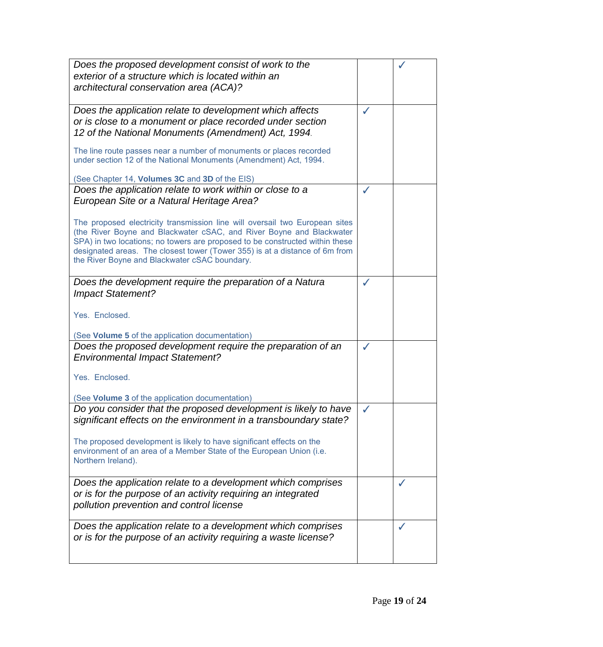|                                                                                                                                                                                                                                                                                                                                                                     | ✓            |  |
|---------------------------------------------------------------------------------------------------------------------------------------------------------------------------------------------------------------------------------------------------------------------------------------------------------------------------------------------------------------------|--------------|--|
| Does the application relate to development which affects<br>or is close to a monument or place recorded under section<br>12 of the National Monuments (Amendment) Act, 1994.                                                                                                                                                                                        |              |  |
| The line route passes near a number of monuments or places recorded<br>under section 12 of the National Monuments (Amendment) Act, 1994.                                                                                                                                                                                                                            |              |  |
| (See Chapter 14, Volumes 3C and 3D of the EIS)                                                                                                                                                                                                                                                                                                                      |              |  |
| Does the application relate to work within or close to a<br>European Site or a Natural Heritage Area?                                                                                                                                                                                                                                                               | ✓            |  |
| The proposed electricity transmission line will oversail two European sites<br>(the River Boyne and Blackwater cSAC, and River Boyne and Blackwater<br>SPA) in two locations; no towers are proposed to be constructed within these<br>designated areas. The closest tower (Tower 355) is at a distance of 6m from<br>the River Boyne and Blackwater cSAC boundary. |              |  |
| Does the development require the preparation of a Natura<br><b>Impact Statement?</b>                                                                                                                                                                                                                                                                                | ✓            |  |
| Yes. Enclosed.                                                                                                                                                                                                                                                                                                                                                      |              |  |
| (See Volume 5 of the application documentation)                                                                                                                                                                                                                                                                                                                     |              |  |
| Does the proposed development require the preparation of an<br><b>Environmental Impact Statement?</b>                                                                                                                                                                                                                                                               | ✓            |  |
| Yes. Enclosed.                                                                                                                                                                                                                                                                                                                                                      |              |  |
| (See Volume 3 of the application documentation)                                                                                                                                                                                                                                                                                                                     |              |  |
| Do you consider that the proposed development is likely to have<br>significant effects on the environment in a transboundary state?                                                                                                                                                                                                                                 | $\checkmark$ |  |
| The proposed development is likely to have significant effects on the<br>environment of an area of a Member State of the European Union (i.e.<br>Northern Ireland).                                                                                                                                                                                                 |              |  |
| Does the application relate to a development which comprises<br>or is for the purpose of an activity requiring an integrated<br>pollution prevention and control license                                                                                                                                                                                            |              |  |
| Does the application relate to a development which comprises<br>or is for the purpose of an activity requiring a waste license?                                                                                                                                                                                                                                     |              |  |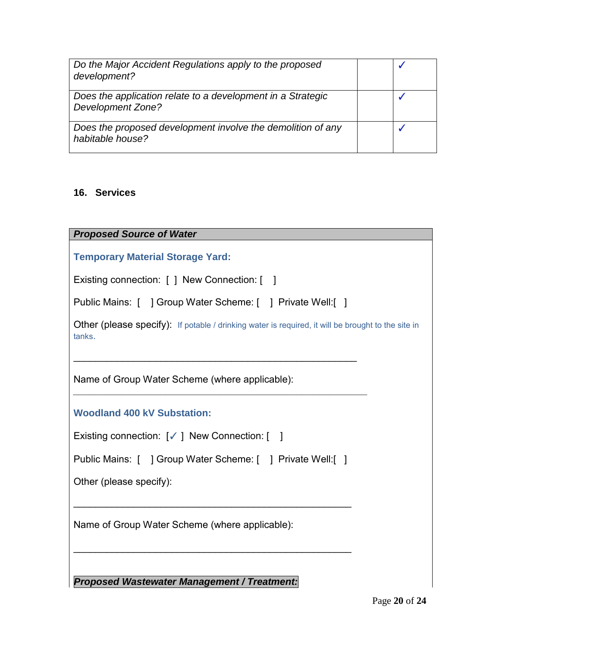| Do the Major Accident Regulations apply to the proposed<br>development?                 |  |
|-----------------------------------------------------------------------------------------|--|
| Does the application relate to a development in a Strategic<br><b>Development Zone?</b> |  |
| Does the proposed development involve the demolition of any<br>habitable house?         |  |

#### **16. Services**

*Proposed Source of Water* 

**Temporary Material Storage Yard:** 

Existing connection: [ ] New Connection: [ ]

|  | Public Mains: [ ] Group Water Scheme: [ | ] Private Well:[ ] |
|--|-----------------------------------------|--------------------|
|--|-----------------------------------------|--------------------|

 $\mathcal{L}_\text{max}$  and  $\mathcal{L}_\text{max}$  and  $\mathcal{L}_\text{max}$  and  $\mathcal{L}_\text{max}$  and  $\mathcal{L}_\text{max}$ 

*\_\_\_\_\_\_\_\_\_\_\_\_\_\_\_\_\_\_\_\_\_\_\_\_\_\_\_\_\_\_\_\_\_\_\_\_\_\_\_\_\_\_\_\_\_\_\_\_\_\_\_\_\_\_*

Other (please specify): If potable / drinking water is required, it will be brought to the site in tanks.

Name of Group Water Scheme (where applicable):

**Woodland 400 kV Substation:** 

| Existing connection: [√] New Connection: [ |  |  |  |  |
|--------------------------------------------|--|--|--|--|
|--------------------------------------------|--|--|--|--|

|  |  | Public Mains: [ ] Group Water Scheme: [ ] Private Well: [ ] |  |  |  |
|--|--|-------------------------------------------------------------|--|--|--|
|--|--|-------------------------------------------------------------|--|--|--|

 $\mathcal{L}_\text{max}$  and  $\mathcal{L}_\text{max}$  and  $\mathcal{L}_\text{max}$  and  $\mathcal{L}_\text{max}$  and  $\mathcal{L}_\text{max}$ 

 $\mathcal{L}_\text{max}$  and  $\mathcal{L}_\text{max}$  and  $\mathcal{L}_\text{max}$  and  $\mathcal{L}_\text{max}$  and  $\mathcal{L}_\text{max}$ 

Other (please specify):

Name of Group Water Scheme (where applicable):

*Proposed Wastewater Management / Treatment:*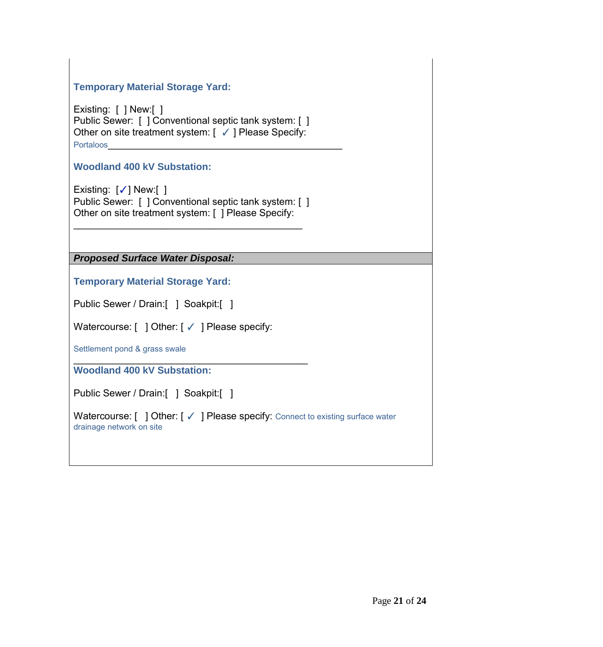# **Temporary Material Storage Yard:**

Existing: [ ] New:[ ] Public Sewer: [ ] Conventional septic tank system: [ ] Other on site treatment system: [ ✓ ] Please Specify: Portaloos

**Woodland 400 kV Substation:** 

Existing: [✓] New:[ ] Public Sewer: [ ] Conventional septic tank system: [ ] Other on site treatment system: [ ] Please Specify:

\_\_\_\_\_\_\_\_\_\_\_\_\_\_\_\_\_\_\_\_\_\_\_\_\_\_\_\_\_\_\_\_\_\_\_\_\_\_\_\_\_\_

*Proposed Surface Water Disposal:* 

**Temporary Material Storage Yard:**

Public Sewer / Drain:[ ] Soakpit:[ ]

Watercourse: [ ] Other: [ √ ] Please specify:

 $\overline{\phantom{a}}$  , which is a set of the set of the set of the set of the set of the set of the set of the set of the set of the set of the set of the set of the set of the set of the set of the set of the set of the set of th

Settlement pond & grass swale

**Woodland 400 kV Substation:**

Public Sewer / Drain:[ ] Soakpit:[ ]

Watercourse: [ ] Other: [ √ ] Please specify: Connect to existing surface water drainage network on site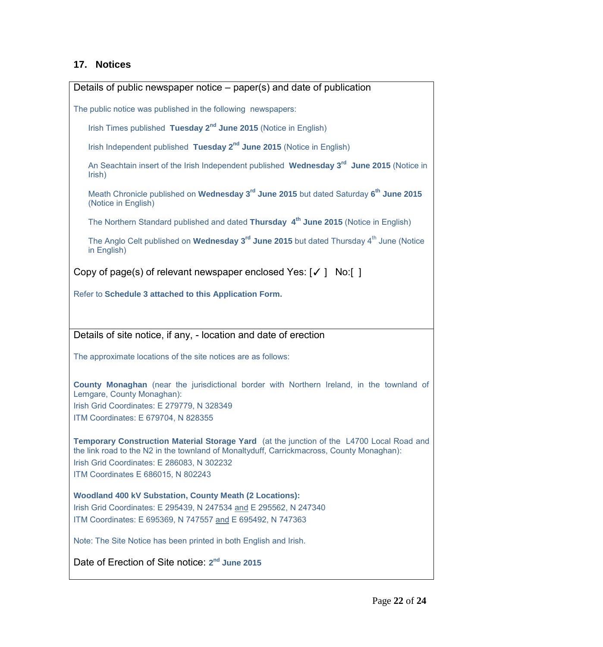#### **17. Notices**

Details of public newspaper notice – paper(s) and date of publication

The public notice was published in the following newspapers:

Irish Times published Tuesday 2<sup>nd</sup> June 2015 (Notice in English)

Irish Independent published Tuesday 2<sup>nd</sup> June 2015 (Notice in English)

An Seachtain insert of the Irish Independent published **Wednesday 3 rd June 2015** (Notice in Irish)

Meath Chronicle published on **Wednesday 3rd June 2015** but dated Saturday **6 th June 2015** (Notice in English)

The Northern Standard published and dated **Thursday 4 th June 2015** (Notice in English)

The Anglo Celt published on Wednesday 3<sup>rd</sup> June 2015 but dated Thursday 4<sup>th</sup> June (Notice in English)

Copy of page(s) of relevant newspaper enclosed Yes: [✓ ] No:[ ]

Refer to **Schedule 3 attached to this Application Form.**

Details of site notice, if any, - location and date of erection

The approximate locations of the site notices are as follows:

**County Monaghan** (near the jurisdictional border with Northern Ireland, in the townland of Lemgare, County Monaghan): Irish Grid Coordinates: E 279779, N 328349 ITM Coordinates: E 679704, N 828355

**Temporary Construction Material Storage Yard** (at the junction of the L4700 Local Road and the link road to the N2 in the townland of Monaltyduff, Carrickmacross, County Monaghan): Irish Grid Coordinates: E 286083, N 302232 ITM Coordinates E 686015, N 802243

**Woodland 400 kV Substation, County Meath (2 Locations):** Irish Grid Coordinates: E 295439, N 247534 and E 295562, N 247340 ITM Coordinates: E 695369, N 747557 and E 695492, N 747363

Note: The Site Notice has been printed in both English and Irish.

Date of Erection of Site notice: **2 nd June 2015**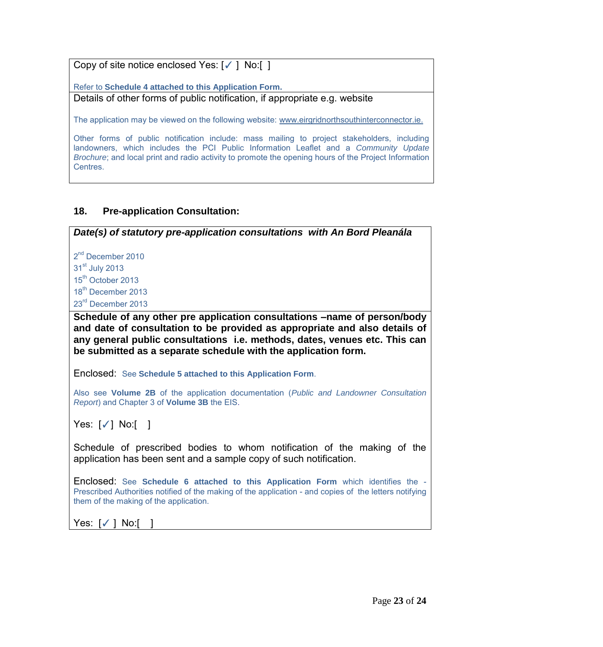Copy of site notice enclosed Yes: [✓ ] No:[ ]

Refer to **Schedule 4 attached to this Application Form.**

Details of other forms of public notification, if appropriate e.g. website

The application may be viewed on the following website: [www.eirgridnorthsouthinterconnector.ie.](http://www.eirgridnorthsouthinterconnector.ie/)

Other forms of public notification include: mass mailing to project stakeholders, including landowners, which includes the PCI Public Information Leaflet and a *Community Update Brochure*; and local print and radio activity to promote the opening hours of the Project Information Centres.

# **18. Pre-application Consultation:**

*Date(s) of statutory pre-application consultations with An Bord Pleanála*

2<sup>nd</sup> December 2010  $31<sup>st</sup>$  July 2013 15<sup>th</sup> October 2013 18<sup>th</sup> December 2013

23<sup>rd</sup> December 2013

**Schedule of any other pre application consultations –name of person/body and date of consultation to be provided as appropriate and also details of any general public consultations i.e. methods, dates, venues etc. This can be submitted as a separate schedule with the application form.** 

Enclosed: See **Schedule 5 attached to this Application Form**.

Also see **Volume 2B** of the application documentation (*Public and Landowner Consultation Report*) and Chapter 3 of **Volume 3B** the EIS.

Yes: [√] No:[ ]

Schedule of prescribed bodies to whom notification of the making of the application has been sent and a sample copy of such notification.

Enclosed: See **Schedule 6 attached to this Application Form** which identifies the - Prescribed Authorities notified of the making of the application - and copies of the letters notifying them of the making of the application.

Yes: [✓ ] No:[ ]